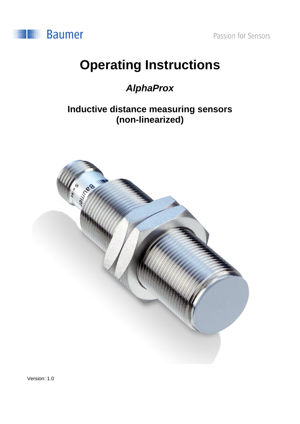



# **Operating Instructions**

## *AlphaProx*

## **Inductive distance measuring sensors (non-linearized)**



Version: 1.0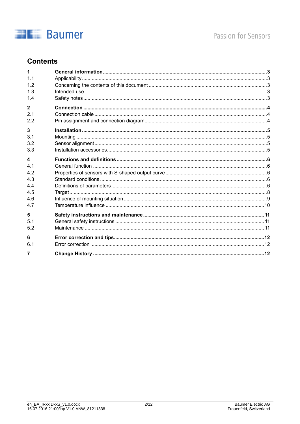

## **Contents**

| 1                |  |
|------------------|--|
| 1.1              |  |
| 12               |  |
| 1.3              |  |
| 1.4              |  |
| $\overline{2}$   |  |
| 21               |  |
| 2.2              |  |
| 3                |  |
| 3 <sub>1</sub>   |  |
| 3.2              |  |
| 3.3              |  |
| $\blacktriangle$ |  |
| 4.1              |  |
| 4.2              |  |
| 4.3              |  |
| 44               |  |
| 4.5              |  |
| 4.6              |  |
| 4.7              |  |
| 5                |  |
| 5 <sub>1</sub>   |  |
| 5.2              |  |
| 6                |  |
| 6.1              |  |
| 7                |  |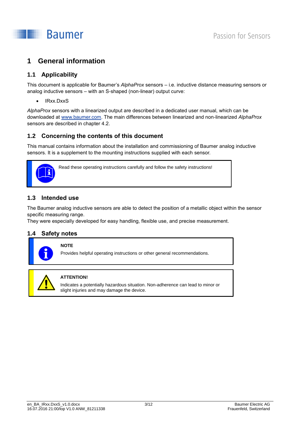

## <span id="page-2-0"></span>**1 General information**

## <span id="page-2-1"></span>**1.1 Applicability**

This document is applicable for Baumer's *AlphaProx* sensors – i.e. inductive distance measuring sensors or analog inductive sensors – with an S-shaped (non-linear) output curve:

IRxx.DxxS

*AlphaProx* sensors with a linearized output are described in a dedicated user manual, which can be downloaded at [www.baumer.com.](http://www.baumer.com/) The main differences between linearized and non-linearized *AlphaProx* sensors are described in chapter [4.2.](#page-5-2)

## <span id="page-2-2"></span>**1.2 Concerning the contents of this document**

This manual contains information about the installation and commissioning of Baumer analog inductive sensors. It is a supplement to the mounting instructions supplied with each sensor.



Read these operating instructions carefully and follow the safety instructions!

## <span id="page-2-3"></span>**1.3 Intended use**

The Baumer analog inductive sensors are able to detect the position of a metallic object within the sensor specific measuring range.

<span id="page-2-4"></span>They were especially developed for easy handling, flexible use, and precise measurement.

### **1.4 Safety notes**



## **NOTE**

Provides helpful operating instructions or other general recommendations.



#### **ATTENTION!**

Indicates a potentially hazardous situation. Non-adherence can lead to minor or slight injuries and may damage the device.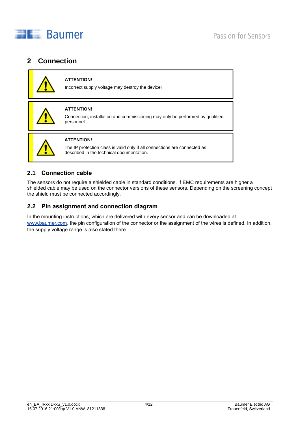

## <span id="page-3-0"></span>**2 Connection**



#### **ATTENTION!**

Incorrect supply voltage may destroy the device!



#### **ATTENTION!**

Connection, installation and commissioning may only be performed by qualified personnel.



#### **ATTENTION!**

The IP protection class is valid only if all connections are connected as described in the technical documentation.

## <span id="page-3-1"></span>**2.1 Connection cable**

The sensors do not require a shielded cable in standard conditions. If EMC requirements are higher a shielded cable may be used on the connector versions of these sensors. Depending on the screening concept the shield must be connected accordingly.

## <span id="page-3-2"></span>**2.2 Pin assignment and connection diagram**

In the mounting instructions, which are delivered with every sensor and can be downloaded at [www.baumer.com,](http://www.baumer.com/) the pin configuration of the connector or the assignment of the wires is defined. In addition, the supply voltage range is also stated there.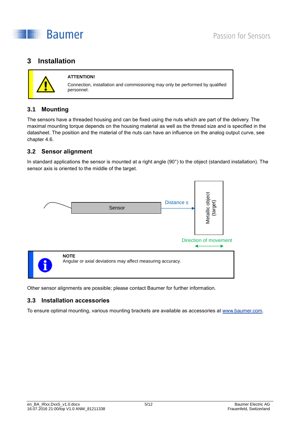

## <span id="page-4-0"></span>**3 Installation**



#### **ATTENTION!**

Connection, installation and commissioning may only be performed by qualified personnel.

## <span id="page-4-1"></span>**3.1 Mounting**

The sensors have a threaded housing and can be fixed using the nuts which are part of the delivery. The maximal mounting torque depends on the housing material as well as the thread size and is specified in the datasheet. The position and the material of the nuts can have an influence on the analog output curve, see chapter [4.6.](#page-8-0)

## <span id="page-4-2"></span>**3.2 Sensor alignment**

In standard applications the sensor is mounted at a right angle (90°) to the object (standard installation). The sensor axis is oriented to the middle of the target.



<span id="page-4-3"></span>Other sensor alignments are possible; please contact Baumer for further information.

## **3.3 Installation accessories**

To ensure optimal mounting, various mounting brackets are available as accessories at [www.baumer.com.](http://www.baumer.com/)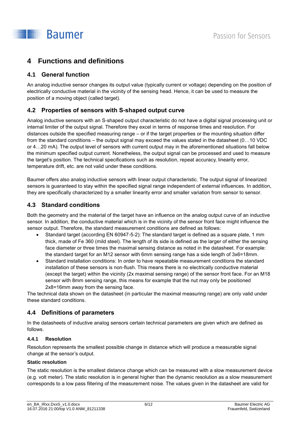## <span id="page-5-0"></span>**4 Functions and definitions**

## <span id="page-5-1"></span>**4.1 General function**

An analog inductive sensor changes its output value (typically current or voltage) depending on the position of electrically conductive material in the vicinity of the sensing head. Hence, it can be used to measure the position of a moving object (called target).

## <span id="page-5-2"></span>**4.2 Properties of sensors with S-shaped output curve**

Analog inductive sensors with an S-shaped output characteristic do not have a digital signal processing unit or internal limiter of the output signal. Therefore they excel in terms of response times and resolution. For distances outside the specified measuring range – or if the target properties or the mounting situation differ from the standard conditions – the output signal may exceed the values stated in the datasheet (0…10 VDC or 4…20 mA). The output level of sensors with current output may in the aforementioned situations fall below the minimum specified output current. Nonetheless, the output signal can be processed and used to measure the target's position. The technical specifications such as resolution, repeat accuracy, linearity error, temperature drift, etc. are not valid under these conditions.

Baumer offers also analog inductive sensors with linear output characteristic. The output signal of linearized sensors is guaranteed to stay within the specified signal range independent of external influences. In addition, they are specifically characterized by a smaller linearity error and smaller variation from sensor to sensor.

## <span id="page-5-3"></span>**4.3 Standard conditions**

Both the geometry and the material of the target have an influence on the analog output curve of an inductive sensor. In addition, the conductive material which is in the vicinity of the sensor front face might influence the sensor output. Therefore, the standard measurement conditions are defined as follows:

- Standard target (according EN 60947-5-2): The standard target is defined as a square plate, 1 mm thick, made of Fe 360 (mild steel). The length of its side is defined as the larger of either the sensing face diameter or three times the maximal sensing distance as noted in the datasheet. For example: the standard target for an M12 sensor with 6mm sensing range has a side length of 3x6=18mm.
- Standard installation conditions: In order to have repeatable measurement conditions the standard installation of these sensors is non-flush. This means there is no electrically conductive material (except the target) within the vicinity (2x maximal sensing range) of the sensor front face. For an M18 sensor with 8mm sensing range, this means for example that the nut may only be positioned 2x8=16mm away from the sensing face.

The technical data shown on the datasheet (in particular the maximal measuring range) are only valid under these standard conditions.

## <span id="page-5-4"></span>**4.4 Definitions of parameters**

In the datasheets of inductive analog sensors certain technical parameters are given which are defined as follows.

## **4.4.1 Resolution**

Resolution represents the smallest possible change in distance which will produce a measurable signal change at the sensor's output.

### **Static resolution**

The static resolution is the smallest distance change which can be measured with a slow measurement device (e.g. volt meter). The static resolution is in general higher than the dynamic resolution as a slow measurement corresponds to a low pass filtering of the measurement noise. The values given in the datasheet are valid for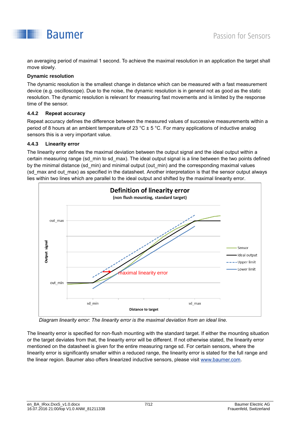

an averaging period of maximal 1 second. To achieve the maximal resolution in an application the target shall move slowly.

#### **Dynamic resolution**

The dynamic resolution is the smallest change in distance which can be measured with a fast measurement device (e.g. oscilloscope). Due to the noise, the dynamic resolution is in general not as good as the static resolution. The dynamic resolution is relevant for measuring fast movements and is limited by the response time of the sensor.

#### **4.4.2 Repeat accuracy**

Repeat accuracy defines the difference between the measured values of successive measurements within a period of 8 hours at an ambient temperature of 23 °C ± 5 °C. For many applications of inductive analog sensors this is a very important value.

#### **4.4.3 Linearity error**

The linearity error defines the maximal deviation between the output signal and the ideal output within a certain measuring range (sd\_min to sd\_max). The ideal output signal is a line between the two points defined by the minimal distance (sd\_min) and minimal output (out\_min) and the corresponding maximal values (sd\_max and out\_max) as specified in the datasheet. Another interpretation is that the sensor output always lies within two lines which are parallel to the ideal output and shifted by the maximal linearity error.



*Diagram linearity error: The linearity error is the maximal deviation from an ideal line.*

The linearity error is specified for non-flush mounting with the standard target. If either the mounting situation or the target deviates from that, the linearity error will be different. If not otherwise stated, the linearity error mentioned on the datasheet is given for the entire measuring range sd. For certain sensors, where the linearity error is significantly smaller within a reduced range, the linearity error is stated for the full range and the linear region. Baumer also offers linearized inductive sensors, please visit [www.baumer.com.](http://www.baumer.com/)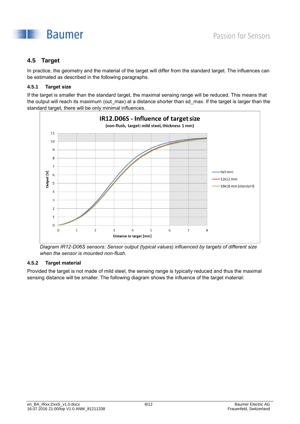

## <span id="page-7-0"></span>**4.5 Target**

In practice, the geometry and the material of the target will differ from the standard target. The influences can be estimated as described in the following paragraphs.

## **4.5.1 Target size**

If the target is smaller than the standard target, the maximal sensing range will be reduced. This means that the output will reach its maximum (out max) at a distance shorter than sd max. If the target is larger than the standard target, there will be only minimal influences.



*Diagram IR12-D06S sensors: Sensor output (typical values) influenced by targets of different size when the sensor is mounted non-flush.*

### **4.5.2 Target material**

Provided the target is not made of mild steel, the sensing range is typically reduced and thus the maximal sensing distance will be smaller. The following diagram shows the influence of the target material: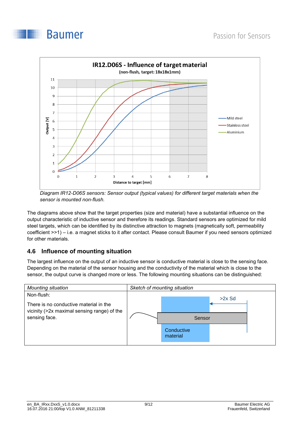### **Baumer**



*Diagram IR12-D06S sensors: Sensor output (typical values) for different target materials when the sensor is mounted non-flush.*

The diagrams above show that the target properties (size and material) have a substantial influence on the output characteristic of inductive sensor and therefore its readings. Standard sensors are optimized for mild steel targets, which can be identified by its distinctive attraction to magnets (magnetically soft, permeability coefficient >>1) – i.e. a magnet sticks to it after contact. Please consult Baumer if you need sensors optimized for other materials.

## <span id="page-8-0"></span>**4.6 Influence of mounting situation**

The largest influence on the output of an inductive sensor is conductive material is close to the sensing face. Depending on the material of the sensor housing and the conductivity of the material which is close to the sensor, the output curve is changed more or less. The following mounting situations can be distinguished:

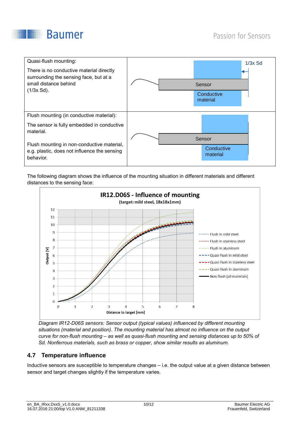



The following diagram shows the influence of the mounting situation in different materials and different distances to the sensing face:



*Diagram IR12-D06S sensors: Sensor output (typical values) influenced by different mounting situations (material and position). The mounting material has almost no influence on the output curve for non-flush mounting – as well as quasi-flush mounting and sensing distances up to 50% of Sd. Nonferrous materials, such as brass or copper, show similar results as aluminum.*

## <span id="page-9-0"></span>**4.7 Temperature influence**

Inductive sensors are susceptible to temperature changes – i.e. the output value at a given distance between sensor and target changes slightly if the temperature varies.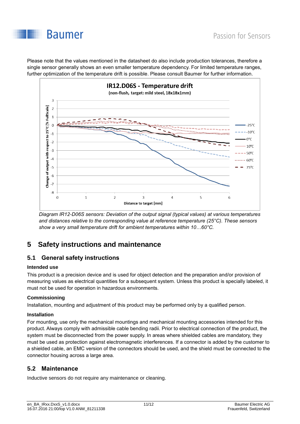

Please note that the values mentioned in the datasheet do also include production tolerances, therefore a single sensor generally shows an even smaller temperature dependency. For limited temperature ranges, further optimization of the temperature drift is possible. Please consult Baumer for further information.



*Diagram IR12-D06S sensors: Deviation of the output signal (typical values) at various temperatures and distances relative to the corresponding value at reference temperature (25°C). These sensors show a very small temperature drift for ambient temperatures within 10…60°C.*

## <span id="page-10-0"></span>**5 Safety instructions and maintenance**

## <span id="page-10-1"></span>**5.1 General safety instructions**

### **Intended use**

This product is a precision device and is used for object detection and the preparation and/or provision of measuring values as electrical quantities for a subsequent system. Unless this product is specially labeled, it must not be used for operation in hazardous environments.

### **Commissioning**

Installation, mounting and adjustment of this product may be performed only by a qualified person.

### **Installation**

For mounting, use only the mechanical mountings and mechanical mounting accessories intended for this product. Always comply with admissible cable bending radii. Prior to electrical connection of the product, the system must be disconnected from the power supply. In areas where shielded cables are mandatory, they must be used as protection against electromagnetic interferences. If a connector is added by the customer to a shielded cable, an EMC version of the connectors should be used, and the shield must be connected to the connector housing across a large area.

## <span id="page-10-2"></span>**5.2 Maintenance**

Inductive sensors do not require any maintenance or cleaning.